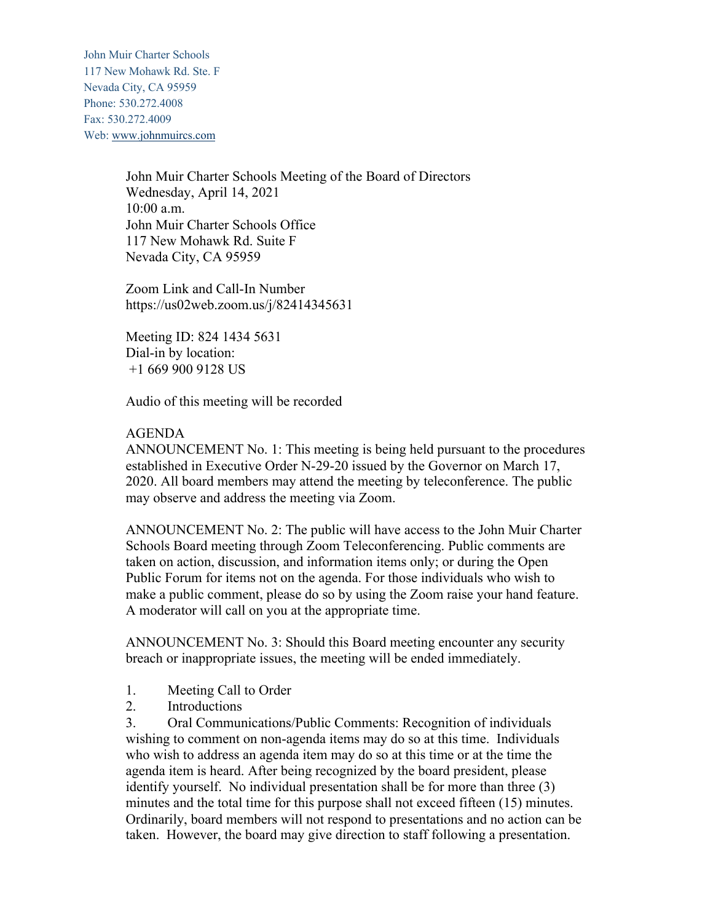John Muir Charter Schools 117 New Mohawk Rd. Ste. F Nevada City, CA 95959 Phone: 530.272.4008 Fax: 530.272.4009 Web: www.johnmuircs.com

> John Muir Charter Schools Meeting of the Board of Directors Wednesday, April 14, 2021 10:00 a.m. John Muir Charter Schools Office 117 New Mohawk Rd. Suite F Nevada City, CA 95959

Zoom Link and Call-In Number https://us02web.zoom.us/j/82414345631

Meeting ID: 824 1434 5631 Dial-in by location: +1 669 900 9128 US

Audio of this meeting will be recorded

#### AGENDA

ANNOUNCEMENT No. 1: This meeting is being held pursuant to the procedures established in Executive Order N-29-20 issued by the Governor on March 17, 2020. All board members may attend the meeting by teleconference. The public may observe and address the meeting via Zoom.

ANNOUNCEMENT No. 2: The public will have access to the John Muir Charter Schools Board meeting through Zoom Teleconferencing. Public comments are taken on action, discussion, and information items only; or during the Open Public Forum for items not on the agenda. For those individuals who wish to make a public comment, please do so by using the Zoom raise your hand feature. A moderator will call on you at the appropriate time.

ANNOUNCEMENT No. 3: Should this Board meeting encounter any security breach or inappropriate issues, the meeting will be ended immediately.

- 1. Meeting Call to Order
- 2. Introductions

3. Oral Communications/Public Comments: Recognition of individuals wishing to comment on non-agenda items may do so at this time. Individuals who wish to address an agenda item may do so at this time or at the time the agenda item is heard. After being recognized by the board president, please identify yourself. No individual presentation shall be for more than three (3) minutes and the total time for this purpose shall not exceed fifteen (15) minutes. Ordinarily, board members will not respond to presentations and no action can be taken. However, the board may give direction to staff following a presentation.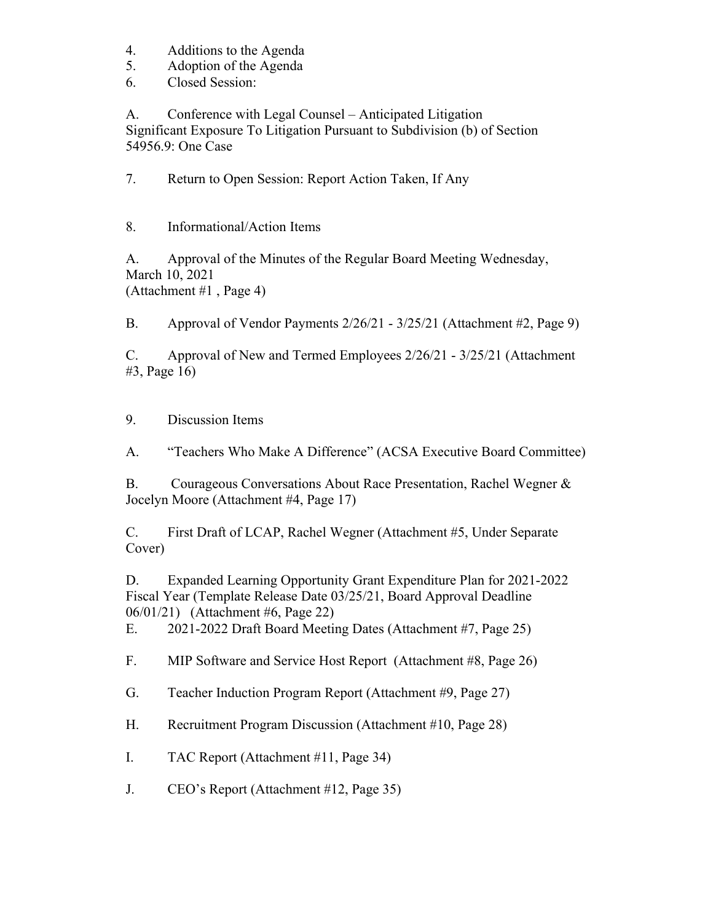- 4. Additions to the Agenda
- 5. Adoption of the Agenda
- 6. Closed Session:

A. Conference with Legal Counsel – Anticipated Litigation Significant Exposure To Litigation Pursuant to Subdivision (b) of Section 54956.9: One Case

7. Return to Open Session: Report Action Taken, If Any

8. Informational/Action Items

A. Approval of the Minutes of the Regular Board Meeting Wednesday, March 10, 2021 (Attachment #1 , Page 4)

B. Approval of Vendor Payments 2/26/21 - 3/25/21 (Attachment #2, Page 9)

C. Approval of New and Termed Employees 2/26/21 - 3/25/21 (Attachment #3, Page 16)

9. Discussion Items

A. "Teachers Who Make A Difference" (ACSA Executive Board Committee)

B. Courageous Conversations About Race Presentation, Rachel Wegner & Jocelyn Moore (Attachment #4, Page 17)

C. First Draft of LCAP, Rachel Wegner (Attachment #5, Under Separate Cover)

D. Expanded Learning Opportunity Grant Expenditure Plan for 2021-2022 Fiscal Year (Template Release Date 03/25/21, Board Approval Deadline 06/01/21) (Attachment #6, Page 22)

E. 2021-2022 Draft Board Meeting Dates (Attachment #7, Page 25)

F. MIP Software and Service Host Report (Attachment #8, Page 26)

G. Teacher Induction Program Report (Attachment #9, Page 27)

H. Recruitment Program Discussion (Attachment #10, Page 28)

I. TAC Report (Attachment #11, Page 34)

J. CEO's Report (Attachment #12, Page 35)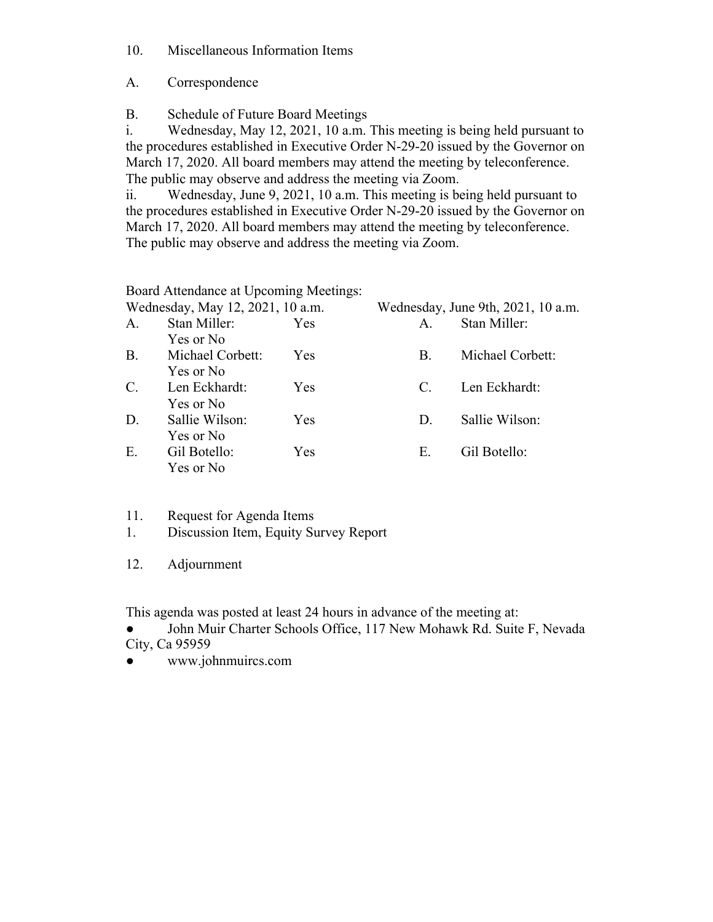10. Miscellaneous Information Items

A. Correspondence

B. Schedule of Future Board Meetings

i. Wednesday, May 12, 2021, 10 a.m. This meeting is being held pursuant to the procedures established in Executive Order N-29-20 issued by the Governor on March 17, 2020. All board members may attend the meeting by teleconference. The public may observe and address the meeting via Zoom.

ii. Wednesday, June 9, 2021, 10 a.m. This meeting is being held pursuant to the procedures established in Executive Order N-29-20 issued by the Governor on March 17, 2020. All board members may attend the meeting by teleconference. The public may observe and address the meeting via Zoom.

Board Attendance at Upcoming Meetings:

|                | $D0$ beard a recent recent $C0$ becoming references. |     |                                    |                  |
|----------------|------------------------------------------------------|-----|------------------------------------|------------------|
|                | Wednesday, May 12, 2021, 10 a.m.                     |     | Wednesday, June 9th, 2021, 10 a.m. |                  |
| A.             | Stan Miller:                                         | Yes | A.                                 | Stan Miller:     |
|                | Yes or No                                            |     |                                    |                  |
| <b>B.</b>      | Michael Corbett:                                     | Yes | <b>B.</b>                          | Michael Corbett: |
|                | Yes or No                                            |     |                                    |                  |
| $\mathbf{C}$ . | Len Eckhardt:                                        | Yes | $C_{\cdot}$                        | Len Eckhardt:    |
|                | Yes or No                                            |     |                                    |                  |
| D.             | Sallie Wilson:                                       | Yes | D.                                 | Sallie Wilson:   |
|                | Yes or No                                            |     |                                    |                  |
| E.             | Gil Botello:                                         | Yes | E.                                 | Gil Botello:     |
|                | Yes or No                                            |     |                                    |                  |

- 11. Request for Agenda Items
- 1. Discussion Item, Equity Survey Report
- 12. Adjournment

This agenda was posted at least 24 hours in advance of the meeting at:

John Muir Charter Schools Office, 117 New Mohawk Rd. Suite F, Nevada City, Ca 95959

● www.johnmuircs.com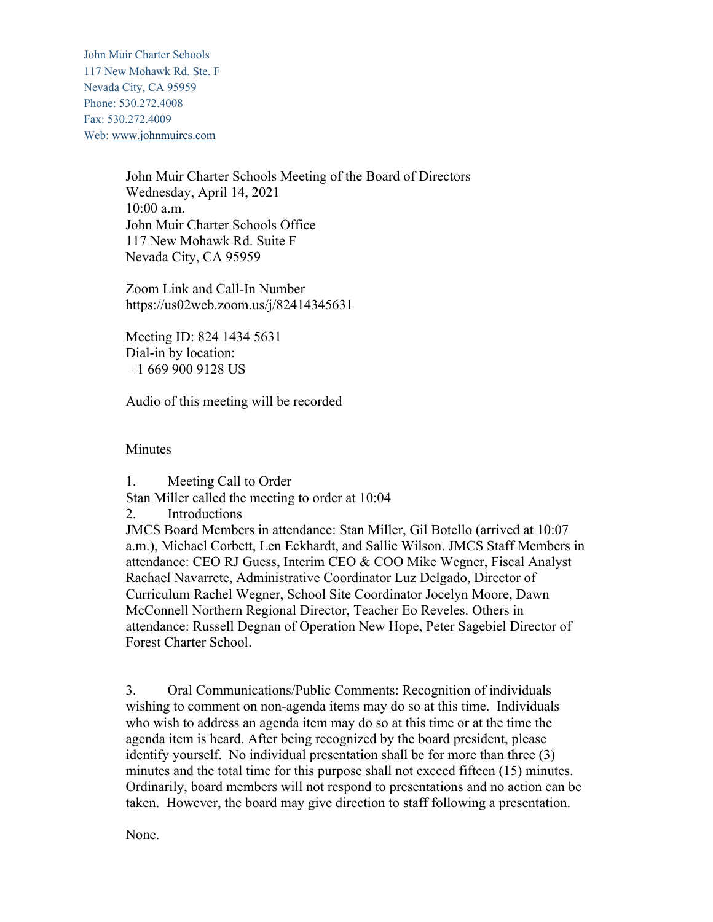John Muir Charter Schools 117 New Mohawk Rd. Ste. F Nevada City, CA 95959 Phone: 530.272.4008 Fax: 530.272.4009 Web: www.johnmuircs.com

> John Muir Charter Schools Meeting of the Board of Directors Wednesday, April 14, 2021 10:00 a.m. John Muir Charter Schools Office 117 New Mohawk Rd. Suite F Nevada City, CA 95959

Zoom Link and Call-In Number https://us02web.zoom.us/j/82414345631

Meeting ID: 824 1434 5631 Dial-in by location: +1 669 900 9128 US

Audio of this meeting will be recorded

**Minutes** 

1. Meeting Call to Order

Stan Miller called the meeting to order at 10:04

2. Introductions

JMCS Board Members in attendance: Stan Miller, Gil Botello (arrived at 10:07 a.m.), Michael Corbett, Len Eckhardt, and Sallie Wilson. JMCS Staff Members in attendance: CEO RJ Guess, Interim CEO & COO Mike Wegner, Fiscal Analyst Rachael Navarrete, Administrative Coordinator Luz Delgado, Director of Curriculum Rachel Wegner, School Site Coordinator Jocelyn Moore, Dawn McConnell Northern Regional Director, Teacher Eo Reveles. Others in attendance: Russell Degnan of Operation New Hope, Peter Sagebiel Director of Forest Charter School.

3. Oral Communications/Public Comments: Recognition of individuals wishing to comment on non-agenda items may do so at this time. Individuals who wish to address an agenda item may do so at this time or at the time the agenda item is heard. After being recognized by the board president, please identify yourself. No individual presentation shall be for more than three (3) minutes and the total time for this purpose shall not exceed fifteen (15) minutes. Ordinarily, board members will not respond to presentations and no action can be taken. However, the board may give direction to staff following a presentation.

None.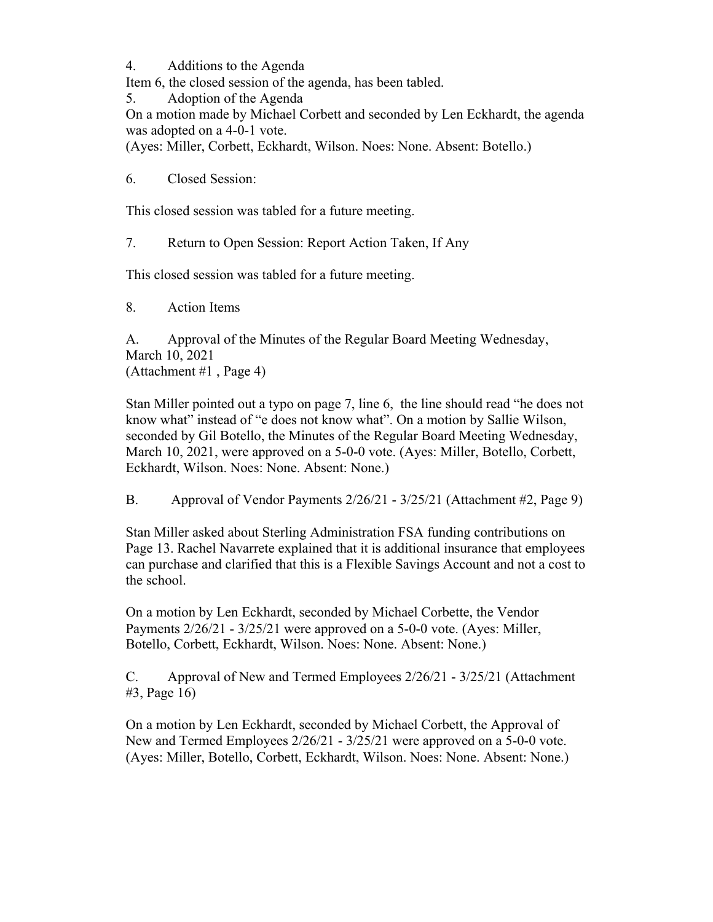4. Additions to the Agenda

Item 6, the closed session of the agenda, has been tabled.

5. Adoption of the Agenda

On a motion made by Michael Corbett and seconded by Len Eckhardt, the agenda was adopted on a 4-0-1 vote.

(Ayes: Miller, Corbett, Eckhardt, Wilson. Noes: None. Absent: Botello.)

6. Closed Session:

This closed session was tabled for a future meeting.

7. Return to Open Session: Report Action Taken, If Any

This closed session was tabled for a future meeting.

8. Action Items

A. Approval of the Minutes of the Regular Board Meeting Wednesday, March 10, 2021 (Attachment #1 , Page 4)

Stan Miller pointed out a typo on page 7, line 6, the line should read "he does not know what" instead of "e does not know what". On a motion by Sallie Wilson, seconded by Gil Botello, the Minutes of the Regular Board Meeting Wednesday, March 10, 2021, were approved on a 5-0-0 vote. (Ayes: Miller, Botello, Corbett, Eckhardt, Wilson. Noes: None. Absent: None.)

B. Approval of Vendor Payments 2/26/21 - 3/25/21 (Attachment #2, Page 9)

Stan Miller asked about Sterling Administration FSA funding contributions on Page 13. Rachel Navarrete explained that it is additional insurance that employees can purchase and clarified that this is a Flexible Savings Account and not a cost to the school.

On a motion by Len Eckhardt, seconded by Michael Corbette, the Vendor Payments 2/26/21 - 3/25/21 were approved on a 5-0-0 vote. (Ayes: Miller, Botello, Corbett, Eckhardt, Wilson. Noes: None. Absent: None.)

C. Approval of New and Termed Employees 2/26/21 - 3/25/21 (Attachment #3, Page 16)

On a motion by Len Eckhardt, seconded by Michael Corbett, the Approval of New and Termed Employees 2/26/21 - 3/25/21 were approved on a 5-0-0 vote. (Ayes: Miller, Botello, Corbett, Eckhardt, Wilson. Noes: None. Absent: None.)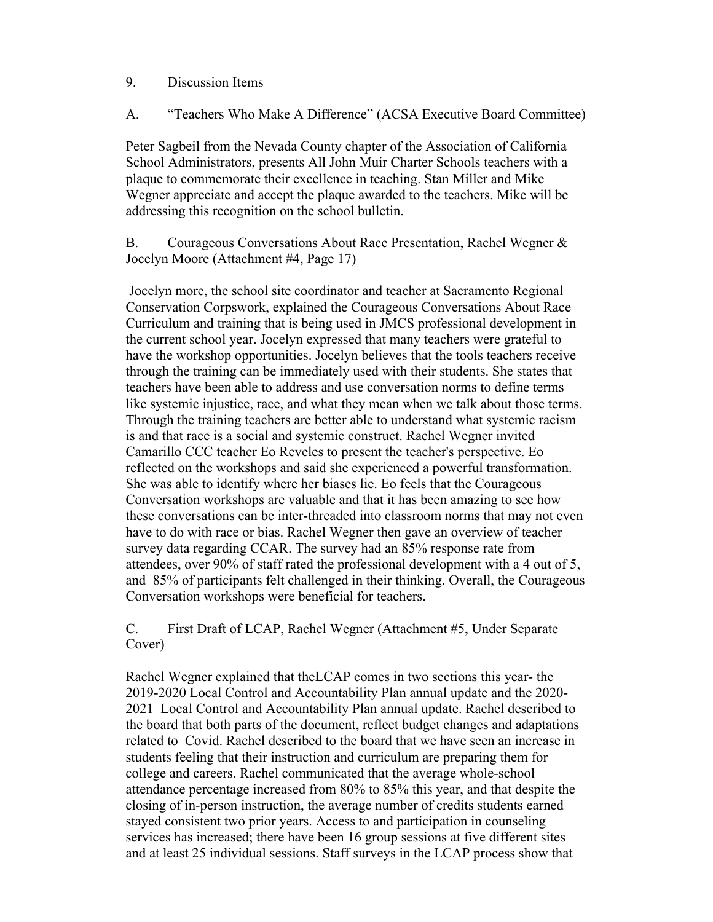#### 9. Discussion Items

A. "Teachers Who Make A Difference" (ACSA Executive Board Committee)

Peter Sagbeil from the Nevada County chapter of the Association of California School Administrators, presents All John Muir Charter Schools teachers with a plaque to commemorate their excellence in teaching. Stan Miller and Mike Wegner appreciate and accept the plaque awarded to the teachers. Mike will be addressing this recognition on the school bulletin.

B. Courageous Conversations About Race Presentation, Rachel Wegner & Jocelyn Moore (Attachment #4, Page 17)

Jocelyn more, the school site coordinator and teacher at Sacramento Regional Conservation Corpswork, explained the Courageous Conversations About Race Curriculum and training that is being used in JMCS professional development in the current school year. Jocelyn expressed that many teachers were grateful to have the workshop opportunities. Jocelyn believes that the tools teachers receive through the training can be immediately used with their students. She states that teachers have been able to address and use conversation norms to define terms like systemic injustice, race, and what they mean when we talk about those terms. Through the training teachers are better able to understand what systemic racism is and that race is a social and systemic construct. Rachel Wegner invited Camarillo CCC teacher Eo Reveles to present the teacher's perspective. Eo reflected on the workshops and said she experienced a powerful transformation. She was able to identify where her biases lie. Eo feels that the Courageous Conversation workshops are valuable and that it has been amazing to see how these conversations can be inter-threaded into classroom norms that may not even have to do with race or bias. Rachel Wegner then gave an overview of teacher survey data regarding CCAR. The survey had an 85% response rate from attendees, over 90% of staff rated the professional development with a 4 out of 5, and 85% of participants felt challenged in their thinking. Overall, the Courageous Conversation workshops were beneficial for teachers.

C. First Draft of LCAP, Rachel Wegner (Attachment #5, Under Separate Cover)

Rachel Wegner explained that theLCAP comes in two sections this year- the 2019-2020 Local Control and Accountability Plan annual update and the 2020- 2021 Local Control and Accountability Plan annual update. Rachel described to the board that both parts of the document, reflect budget changes and adaptations related to Covid. Rachel described to the board that we have seen an increase in students feeling that their instruction and curriculum are preparing them for college and careers. Rachel communicated that the average whole-school attendance percentage increased from 80% to 85% this year, and that despite the closing of in-person instruction, the average number of credits students earned stayed consistent two prior years. Access to and participation in counseling services has increased; there have been 16 group sessions at five different sites and at least 25 individual sessions. Staff surveys in the LCAP process show that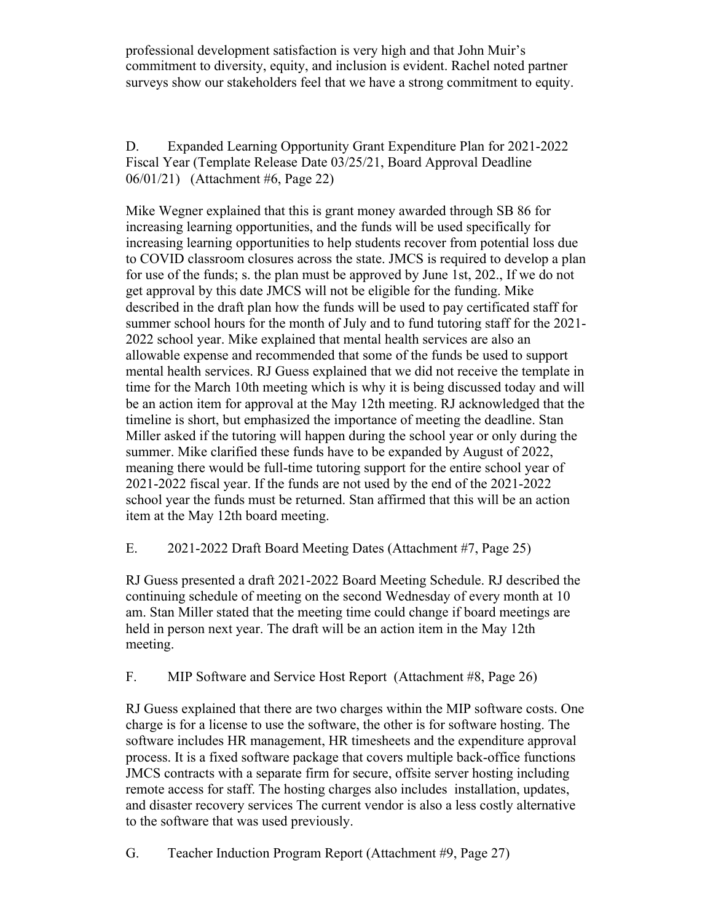professional development satisfaction is very high and that John Muir's commitment to diversity, equity, and inclusion is evident. Rachel noted partner surveys show our stakeholders feel that we have a strong commitment to equity.

D. Expanded Learning Opportunity Grant Expenditure Plan for 2021-2022 Fiscal Year (Template Release Date 03/25/21, Board Approval Deadline 06/01/21) (Attachment #6, Page 22)

Mike Wegner explained that this is grant money awarded through SB 86 for increasing learning opportunities, and the funds will be used specifically for increasing learning opportunities to help students recover from potential loss due to COVID classroom closures across the state. JMCS is required to develop a plan for use of the funds; s. the plan must be approved by June 1st, 202., If we do not get approval by this date JMCS will not be eligible for the funding. Mike described in the draft plan how the funds will be used to pay certificated staff for summer school hours for the month of July and to fund tutoring staff for the 2021- 2022 school year. Mike explained that mental health services are also an allowable expense and recommended that some of the funds be used to support mental health services. RJ Guess explained that we did not receive the template in time for the March 10th meeting which is why it is being discussed today and will be an action item for approval at the May 12th meeting. RJ acknowledged that the timeline is short, but emphasized the importance of meeting the deadline. Stan Miller asked if the tutoring will happen during the school year or only during the summer. Mike clarified these funds have to be expanded by August of 2022, meaning there would be full-time tutoring support for the entire school year of 2021-2022 fiscal year. If the funds are not used by the end of the 2021-2022 school year the funds must be returned. Stan affirmed that this will be an action item at the May 12th board meeting.

E. 2021-2022 Draft Board Meeting Dates (Attachment #7, Page 25)

RJ Guess presented a draft 2021-2022 Board Meeting Schedule. RJ described the continuing schedule of meeting on the second Wednesday of every month at 10 am. Stan Miller stated that the meeting time could change if board meetings are held in person next year. The draft will be an action item in the May 12th meeting.

F. MIP Software and Service Host Report (Attachment #8, Page 26)

RJ Guess explained that there are two charges within the MIP software costs. One charge is for a license to use the software, the other is for software hosting. The software includes HR management, HR timesheets and the expenditure approval process. It is a fixed software package that covers multiple back-office functions JMCS contracts with a separate firm for secure, offsite server hosting including remote access for staff. The hosting charges also includes installation, updates, and disaster recovery services The current vendor is also a less costly alternative to the software that was used previously.

G. Teacher Induction Program Report (Attachment #9, Page 27)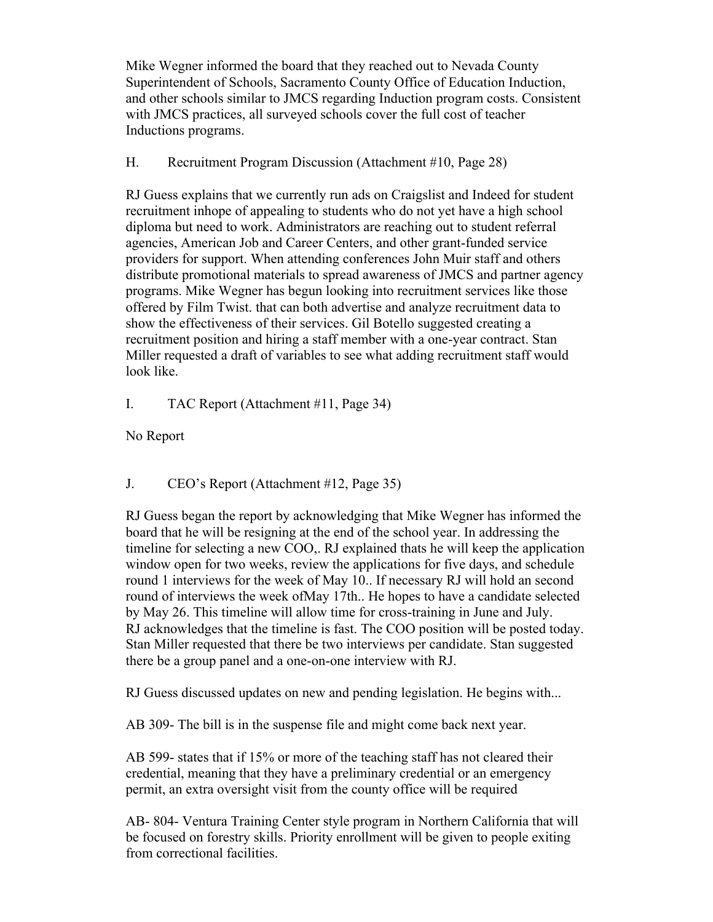Mike Wegner informed the board that they reached out to Nevada County Superintendent of Schools, Sacramento County Office of Education Induction, and other schools similar to JMCS regarding Induction program costs. Consistent with JMCS practices, all surveyed schools cover the full cost of teacher Inductions programs.

### H. Recruitment Program Discussion (Attachment #10, Page 28)

RJ Guess explains that we currently run ads on Craigslist and Indeed for student recruitment inhope of appealing to students who do not yet have a high school diploma but need to work. Administrators are reaching out to student referral agencies, American Job and Career Centers, and other grant-funded service providers for support. When attending conferences John Muir staff and others distribute promotional materials to spread awareness of JMCS and partner agency programs. Mike Wegner has begun looking into recruitment services like those offered by Film Twist. that can both advertise and analyze recruitment data to show the effectiveness of their services. Gil Botello suggested creating a recruitment position and hiring a staff member with a one-year contract. Stan Miller requested a draft of variables to see what adding recruitment staff would look like.

# I. TAC Report (Attachment #11, Page 34)

No Report

# J. CEO's Report (Attachment #12, Page 35)

RJ Guess began the report by acknowledging that Mike Wegner has informed the board that he will be resigning at the end of the school year. In addressing the timeline for selecting a new COO,. RJ explained thats he will keep the application window open for two weeks, review the applications for five days, and schedule round 1 interviews for the week of May 10.. If necessary RJ will hold an second round of interviews the week ofMay 17th.. He hopes to have a candidate selected by May 26. This timeline will allow time for cross-training in June and July. RJ acknowledges that the timeline is fast. The COO position will be posted today. Stan Miller requested that there be two interviews per candidate. Stan suggested there be a group panel and a one-on-one interview with RJ.

RJ Guess discussed updates on new and pending legislation. He begins with...

AB 309- The bill is in the suspense file and might come back next year.

AB 599- states that if 15% or more of the teaching staff has not cleared their credential, meaning that they have a preliminary credential or an emergency permit, an extra oversight visit from the county office will be required

AB- 804- Ventura Training Center style program in Northern California that will be focused on forestry skills. Priority enrollment will be given to people exiting from correctional facilities.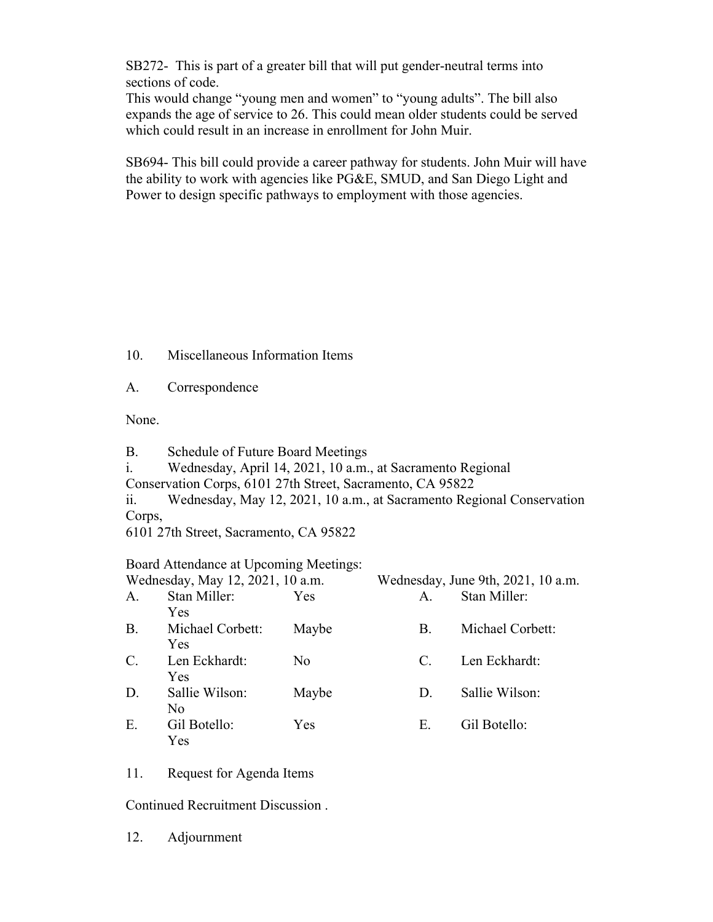SB272- This is part of a greater bill that will put gender-neutral terms into sections of code.

This would change "young men and women" to "young adults". The bill also expands the age of service to 26. This could mean older students could be served which could result in an increase in enrollment for John Muir.

SB694- This bill could provide a career pathway for students. John Muir will have the ability to work with agencies like PG&E, SMUD, and San Diego Light and Power to design specific pathways to employment with those agencies.

- 10. Miscellaneous Information Items
- A. Correspondence

None.

- B. Schedule of Future Board Meetings
- i. Wednesday, April 14, 2021, 10 a.m., at Sacramento Regional
- Conservation Corps, 6101 27th Street, Sacramento, CA 95822

ii. Wednesday, May 12, 2021, 10 a.m., at Sacramento Regional Conservation Corps,

6101 27th Street, Sacramento, CA 95822

### Board Attendance at Upcoming Meetings:

| Wednesday, May 12, 2021, 10 a.m. |                                |       | Wednesday, June 9th, 2021, 10 a.m. |                  |
|----------------------------------|--------------------------------|-------|------------------------------------|------------------|
| A.                               | Stan Miller:<br>Yes            | Yes   | $\mathsf{A}$ .                     | Stan Miller:     |
| <b>B.</b>                        | Michael Corbett:<br><b>Yes</b> | Maybe | В.                                 | Michael Corbett: |
| $\mathcal{C}$ .                  | Len Eckhardt:<br>Yes           | No    | $\mathcal{C}$ .                    | Len Eckhardt:    |
| D.                               | Sallie Wilson:<br>No           | Maybe | $D_{\cdot}$                        | Sallie Wilson:   |
| Ε.                               | Gil Botello:<br>Yes            | Yes   | Е.                                 | Gil Botello:     |

11. Request for Agenda Items

Continued Recruitment Discussion .

12. Adjournment